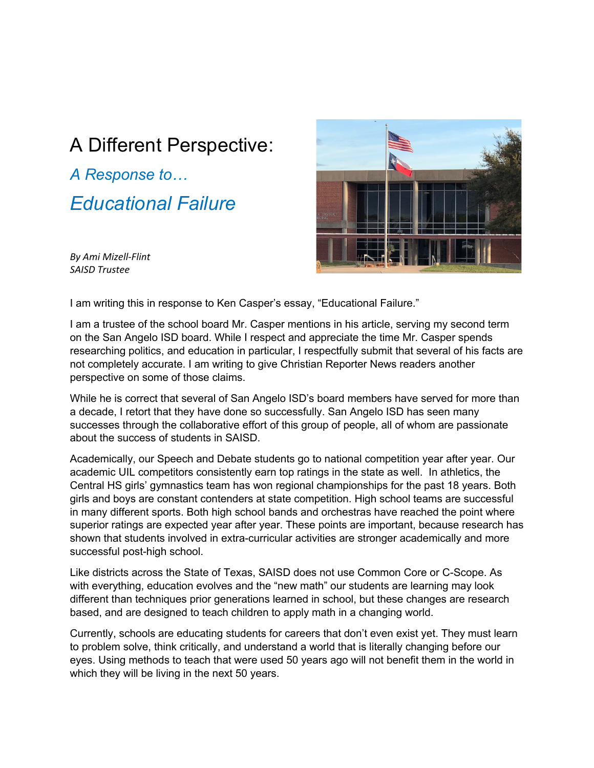## A Different Perspective:

*A Response to… Educational Failure*



*By Ami Mizell-Flint SAISD Trustee*

I am writing this in response to Ken Casper's essay, "Educational Failure."

I am a trustee of the school board Mr. Casper mentions in his article, serving my second term on the San Angelo ISD board. While I respect and appreciate the time Mr. Casper spends researching politics, and education in particular, I respectfully submit that several of his facts are not completely accurate. I am writing to give Christian Reporter News readers another perspective on some of those claims.

While he is correct that several of San Angelo ISD's board members have served for more than a decade, I retort that they have done so successfully. San Angelo ISD has seen many successes through the collaborative effort of this group of people, all of whom are passionate about the success of students in SAISD.

Academically, our Speech and Debate students go to national competition year after year. Our academic UIL competitors consistently earn top ratings in the state as well. In athletics, the Central HS girls' gymnastics team has won regional championships for the past 18 years. Both girls and boys are constant contenders at state competition. High school teams are successful in many different sports. Both high school bands and orchestras have reached the point where superior ratings are expected year after year. These points are important, because research has shown that students involved in extra-curricular activities are stronger academically and more successful post-high school.

Like districts across the State of Texas, SAISD does not use Common Core or C-Scope. As with everything, education evolves and the "new math" our students are learning may look different than techniques prior generations learned in school, but these changes are research based, and are designed to teach children to apply math in a changing world.

Currently, schools are educating students for careers that don't even exist yet. They must learn to problem solve, think critically, and understand a world that is literally changing before our eyes. Using methods to teach that were used 50 years ago will not benefit them in the world in which they will be living in the next 50 years.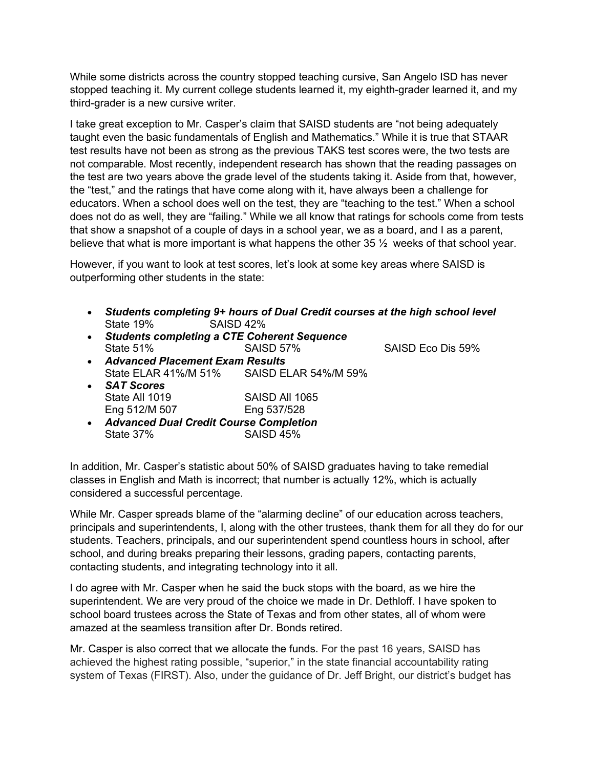While some districts across the country stopped teaching cursive, San Angelo ISD has never stopped teaching it. My current college students learned it, my eighth-grader learned it, and my third-grader is a new cursive writer.

I take great exception to Mr. Casper's claim that SAISD students are "not being adequately taught even the basic fundamentals of English and Mathematics." While it is true that STAAR test results have not been as strong as the previous TAKS test scores were, the two tests are not comparable. Most recently, independent research has shown that the reading passages on the test are two years above the grade level of the students taking it. Aside from that, however, the "test," and the ratings that have come along with it, have always been a challenge for educators. When a school does well on the test, they are "teaching to the test." When a school does not do as well, they are "failing." While we all know that ratings for schools come from tests that show a snapshot of a couple of days in a school year, we as a board, and I as a parent, believe that what is more important is what happens the other  $35\frac{1}{2}$  weeks of that school year.

However, if you want to look at test scores, let's look at some key areas where SAISD is outperforming other students in the state:

- *Students completing 9+ hours of Dual Credit courses at the high school level* State 19% SAISD 42%
- *Students completing a CTE Coherent Sequence* State 51% SAISD 57% SAISD 57% SAISD Eco Dis 59%

- *Advanced Placement Exam Results* State ELAR 41%/M 51% SAISD ELAR 54%/M 59%
- *SAT Scores* State All 1019 SAISD All 1065 Eng 512/M 507 Eng 537/528
- *Advanced Dual Credit Course Completion* State 37% SAISD 45%

In addition, Mr. Casper's statistic about 50% of SAISD graduates having to take remedial classes in English and Math is incorrect; that number is actually 12%, which is actually considered a successful percentage.

While Mr. Casper spreads blame of the "alarming decline" of our education across teachers, principals and superintendents, I, along with the other trustees, thank them for all they do for our students. Teachers, principals, and our superintendent spend countless hours in school, after school, and during breaks preparing their lessons, grading papers, contacting parents, contacting students, and integrating technology into it all.

I do agree with Mr. Casper when he said the buck stops with the board, as we hire the superintendent. We are very proud of the choice we made in Dr. Dethloff. I have spoken to school board trustees across the State of Texas and from other states, all of whom were amazed at the seamless transition after Dr. Bonds retired.

Mr. Casper is also correct that we allocate the funds. For the past 16 years, SAISD has achieved the highest rating possible, "superior," in the state financial accountability rating system of Texas (FIRST). Also, under the guidance of Dr. Jeff Bright, our district's budget has